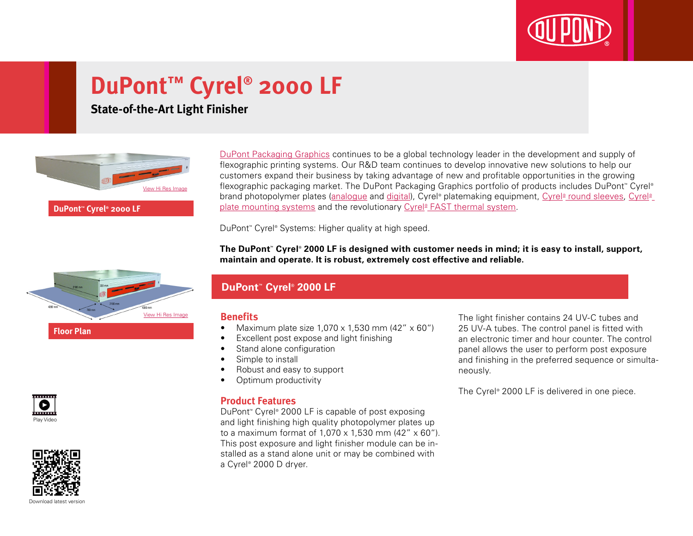

# **DuPont™ Cyrel® 2000 LF**

**State-of-the-Art Light Finisher**



**DuPont™ Cyrel® 2000 LF**

[DuPont Packaging Graphics](http://www2.dupont.com/Packaging_Graphics/en_GB/index.html) continues to be a global technology leader in the development and supply of flexographic printing systems. Our R&D team continues to develop innovative new solutions to help our customers expand their business by taking advantage of new and profitable opportunities in the growing flexographic packaging market. The DuPont Packaging Graphics portfolio of products includes DuPont™ Cyrel® brand photopolymer plates (<u>analogue</u> and <u>digital</u>), Cyrel® platemaking equipment, <u>Cyrel® [round sleeves,](http://www2.dupont.com/Packaging_Graphics/en_GB/products/cyrel_round/index_cyrelround2.html) [Cyrel®](http://www2.dupont.com/Packaging_Graphics/en_GB/products/mounting_systems/index.html)</u> [plate mounting systems](http://www2.dupont.com/Packaging_Graphics/en_GB/products/mounting_systems/index.html) and the revolutionary Cyrel® [FAST thermal system.](http://www2.dupont.com/Packaging_Graphics/en_GB/products/cyrel_fast/cyrelfast_index.html)

DuPont™ Cyrel® Systems: Higher quality at high speed.

**The DuPont™ Cyrel® 2000 LF is designed with customer needs in mind; it is easy to install, support, maintain and operate. It is robust, extremely cost effective and reliable.**



### **DuPont™ Cyrel® 2000 LF**

#### **Benefits**

- Maximum plate size  $1,070 \times 1,530$  mm (42"  $\times$  60")
- Excellent post expose and light finishing
- Stand alone configuration
- Simple to install
- Robust and easy to support
- Optimum productivity

#### **Product Features**

DuPont™ Cyrel® 2000 LF is capable of post exposing and light finishing high quality photopolymer plates up to a maximum format of 1,070 x 1,530 mm (42" x 60"). This post exposure and light finisher module can be installed as a stand alone unit or may be combined with a Cyrel® 2000 D dryer.

The light finisher contains 24 UV-C tubes and 25 UV-A tubes. The control panel is fitted with an electronic timer and hour counter. The control panel allows the user to perform post exposure and finishing in the preferred sequence or simultaneously.

The Cyrel® 2000 LF is delivered in one piece.





Download latest versio